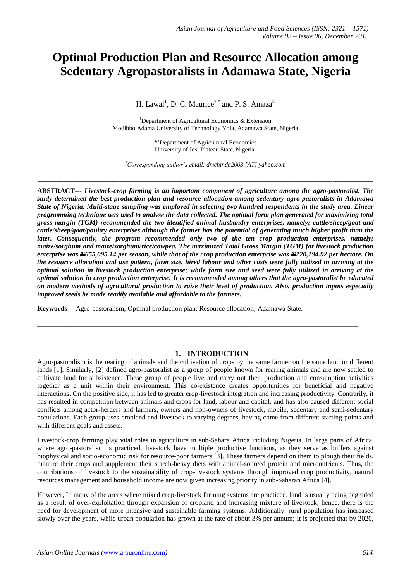# **Optimal Production Plan and Resource Allocation among Sedentary Agropastoralists in Adamawa State, Nigeria**

H. Lawal<sup>1</sup>, D. C. Maurice<sup>2,\*</sup> and P. S. Amaza<sup>3</sup>

<sup>1</sup>Department of Agricultural Economics  $\&$  Extension Modibbo Adama University of Technology Yola, Adamawa State, Nigeria

> $^{2,3}$ Department of Agricultural Economics University of Jos, Plateau State, Nigeria.

*\*Corresponding author's email: dmchinda2003 [AT] yahoo.com*

*\_\_\_\_\_\_\_\_\_\_\_\_\_\_\_\_\_\_\_\_\_\_\_\_\_\_\_\_\_\_\_\_\_\_\_\_\_\_\_\_\_\_\_\_\_\_\_\_\_\_\_\_\_\_\_\_\_\_\_\_\_\_\_\_\_\_\_\_\_\_\_\_\_\_\_\_\_\_\_\_\_\_\_\_\_\_\_\_\_\_\_\_\_\_\_\_\_\_\_\_\_\_\_\_\_\_\_\_*

**ABSTRACT---** *Livestock-crop farming is an important component of agriculture among the agro-pastoralist. The study determined the best production plan and resource allocation among sedentary agro-pastoralists in Adamawa State of Nigeria. Multi-stage sampling was employed in selecting two hundred respondents in the study area. Linear programming technique was used to analyse the data collected. The optimal farm plan generated for maximizing total gross margin (TGM) recommended the two identified animal husbandry enterprises, namely; cattle/sheep/goat and cattle/sheep/goat/poultry enterprises although the former has the potential of generating much higher profit than the later. Consequently, the program recommended only two of the ten crop production enterprises, namely; maize/sorghum and maize/sorghum/rice/cowpea. The maximized Total Gross Margin (TGM) for livestock production enterprise was N655,095.14 per season, while that of the crop production enterprise was N220,194.92 per hectare. On the resource allocation and use pattern, farm size, hired labour and other costs were fully utilized in arriving at the optimal solution in livestock production enterprise; while farm size and seed were fully utilized in arriving at the optimal solution in crop production enterprise. It is recommended among others that the agro-pastoralist be educated on modern methods of agricultural production to raise their level of production. Also, production inputs especially improved seeds be made readily available and affordable to the farmers.*

**Keywords---** Agro-pastoralism; Optimal production plan; Resource allocation; Adamawa State.

#### **1. INTRODUCTION**

\_\_\_\_\_\_\_\_\_\_\_\_\_\_\_\_\_\_\_\_\_\_\_\_\_\_\_\_\_\_\_\_\_\_\_\_\_\_\_\_\_\_\_\_\_\_\_\_\_\_\_\_\_\_\_\_\_\_\_\_\_\_\_\_\_\_\_\_\_\_\_\_\_\_\_\_\_\_\_\_\_\_\_\_\_\_\_\_\_\_\_\_\_

Agro-pastoralism is the rearing of animals and the cultivation of crops by the same farmer on the same land or different lands [1]. Similarly, [2] defined agro-pastoralist as a group of people known for rearing animals and are now settled to cultivate land for subsistence. These group of people live and carry out their production and consumption activities together as a unit within their environment. This co-existence creates opportunities for beneficial and negative interactions. On the positive side, it has led to greater crop-livestock integration and increasing productivity. Contrarily, it has resulted in competition between animals and crops for land, labour and capital, and has also caused different social conflicts among actor-herders and farmers, owners and non-owners of livestock, mobile, sedentary and semi-sedentary populations. Each group uses cropland and livestock to varying degrees, having come from different starting points and with different goals and assets.

Livestock-crop farming play vital roles in agriculture in sub-Sahara Africa including Nigeria. In large parts of Africa, where agro-pastoralism is practiced, livestock have multiple productive functions, as they serve as buffers against biophysical and socio-economic risk for resource-poor farmers [3]. These farmers depend on them to plough their fields, manure their crops and supplement their starch-heavy diets with animal-sourced protein and micronutrients. Thus, the contributions of livestock to the sustainability of crop-livestock systems through improved crop productivity, natural resources management and household income are now given increasing priority in sub-Saharan Africa [4].

However, In many of the areas where mixed crop-livestock farming systems are practiced, land is usually being degraded as a result of over-exploitation through expansion of cropland and increasing mixture of livestock; hence, there is the need for development of more intensive and sustainable farming systems. Additionally, rural population has increased slowly over the years, while urban population has grown at the rate of about 3% per annum; It is projected that by 2020,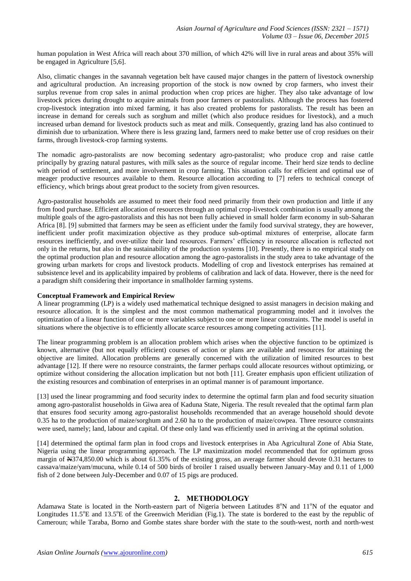human population in West Africa will reach about 370 million, of which 42% will live in rural areas and about 35% will be engaged in Agriculture [5,6].

Also, climatic changes in the savannah vegetation belt have caused major changes in the pattern of livestock ownership and agricultural production. An increasing proportion of the stock is now owned by crop farmers, who invest their surplus revenue from crop sales in animal production when crop prices are higher. They also take advantage of low livestock prices during drought to acquire animals from poor farmers or pastoralists. Although the process has fostered crop-livestock integration into mixed farming, it has also created problems for pastoralists. The result has been an increase in demand for cereals such as sorghum and millet (which also produce residues for livestock), and a much increased urban demand for livestock products such as meat and milk. Consequently, grazing land has also continued to diminish due to urbanization. Where there is less grazing land, farmers need to make better use of crop residues on their farms, through livestock-crop farming systems.

The nomadic agro-pastoralists are now becoming sedentary agro-pastoralist; who produce crop and raise cattle principally by grazing natural pastures, with milk sales as the source of regular income. Their herd size tends to decline with period of settlement, and more involvement in crop farming. This situation calls for efficient and optimal use of meager productive resources available to them. Resource allocation according to [7] refers to technical concept of efficiency, which brings about great product to the society from given resources.

Agro-pastoralist households are assumed to meet their food need primarily from their own production and little if any from food purchase. Efficient allocation of resources through an optimal crop-livestock combination is usually among the multiple goals of the agro-pastoralists and this has not been fully achieved in small holder farm economy in sub-Saharan Africa [8]. [9] submitted that farmers may be seen as efficient under the family food survival strategy, they are however, inefficient under profit maximization objective as they produce sub-optimal mixtures of enterprise, allocate farm resources inefficiently, and over-utilize their land resources. Farmers' efficiency in resource allocation is reflected not only in the returns, but also in the sustainability of the production systems [10]. Presently, there is no empirical study on the optimal production plan and resource allocation among the agro-pastoralists in the study area to take advantage of the growing urban markets for crops and livestock products. Modelling of crop and livestock enterprises has remained at subsistence level and its applicability impaired by problems of calibration and lack of data. However, there is the need for a paradigm shift considering their importance in smallholder farming systems.

## **Conceptual Framework and Empirical Review**

A linear programming (LP) is a widely used mathematical technique designed to assist managers in decision making and resource allocation. It is the simplest and the most common mathematical programming model and it involves the optimization of a linear function of one or more variables subject to one or more linear constraints. The model is useful in situations where the objective is to efficiently allocate scarce resources among competing activities [11].

The linear programming problem is an allocation problem which arises when the objective function to be optimized is known, alternative (but not equally efficient) courses of action or plans are available and resources for attaining the objective are limited. Allocation problems are generally concerned with the utilization of limited resources to best advantage [12]. If there were no resource constraints, the farmer perhaps could allocate resources without optimizing, or optimize without considering the allocation implication but not both [11]. Greater emphasis upon efficient utilization of the existing resources and combination of enterprises in an optimal manner is of paramount importance.

[13] used the linear programming and food security index to determine the optimal farm plan and food security situation among agro-pastoralist households in Giwa area of Kaduna State, Nigeria. The result revealed that the optimal farm plan that ensures food security among agro-pastoralist households recommended that an average household should devote 0.35 ha to the production of maize/sorghum and 2.60 ha to the production of maize/cowpea. Three resource constraints were used, namely; land, labour and capital. Of these only land was efficiently used in arriving at the optimal solution.

[14] determined the optimal farm plan in food crops and livestock enterprises in Aba Agricultural Zone of Abia State, Nigeria using the linear programming approach. The LP maximization model recommended that for optimum gross margin of  $\text{\#374,850.00}$  which is about 61.35% of the existing gross, an average farmer should devote 0.31 hectares to cassava/maize/yam/mucuna, while 0.14 of 500 birds of broiler 1 raised usually between January-May and 0.11 of 1,000 fish of 2 done between July-December and 0.07 of 15 pigs are produced.

## **2. METHODOLOGY**

Adamawa State is located in the North-eastern part of Nigeria between Latitudes  $8^\circ$ N and  $11^\circ$ N of the equator and Longitudes  $11.5^{\circ}E$  and  $13.5^{\circ}E$  of the Greenwich Meridian (Fig.1). The state is bordered to the east by the republic of Cameroun; while Taraba, Borno and Gombe states share border with the state to the south-west, north and north-west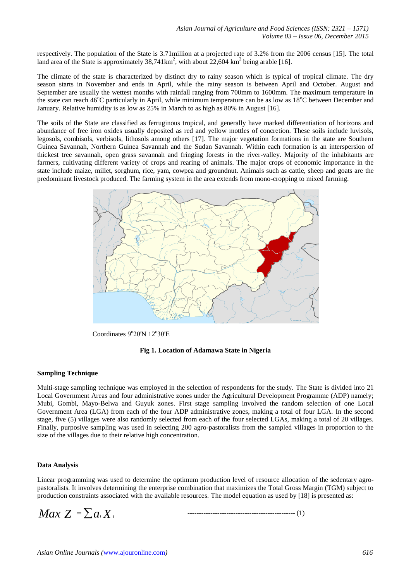respectively. The population of the State is 3.71million at a projected rate of 3.2% from the 2006 census [15]. The total land area of the State is approximately  $38,741 \text{km}^2$ , with about 22,604 km<sup>2</sup> being arable [16].

The climate of the state is characterized by distinct dry to rainy season which is typical of tropical climate. The dry season starts in November and ends in April, while the rainy season is between April and October. August and September are usually the wettest months with rainfall ranging from 700mm to 1600mm. The maximum temperature in the state can reach  $46^{\circ}$ C particularly in April, while minimum temperature can be as low as  $18^{\circ}$ C between December and January. Relative humidity is as low as 25% in March to as high as 80% in August [16].

The soils of the State are classified as ferruginous tropical, and generally have marked differentiation of horizons and abundance of free iron oxides usually deposited as red and yellow mottles of concretion. These soils include luvisols, legosols, combisols, verbisols, lithosols among others [17]. The major vegetation formations in the state are Southern Guinea Savannah, Northern Guinea Savannah and the Sudan Savannah. Within each formation is an interspersion of thickest tree savannah, open grass savannah and fringing forests in the river-valley. Majority of the inhabitants are farmers, cultivating different variety of crops and rearing of animals. The major crops of economic importance in the state include maize, millet, sorghum, rice, yam, cowpea and groundnut. Animals such as cattle, sheep and goats are the predominant livestock produced. The farming system in the area extends from mono-cropping to mixed farming.



Coordinates  $9^{\circ}20'$ N 12 $^{\circ}30'E$ 

## **Fig 1. Location of Adamawa State in Nigeria**

## **Sampling Technique**

Multi-stage sampling technique was employed in the selection of respondents for the study. The State is divided into 21 Local Government Areas and four administrative zones under the Agricultural Development Programme (ADP) namely; Mubi, Gombi, Mayo-Belwa and Guyuk zones. First stage sampling involved the random selection of one Local Government Area (LGA) from each of the four ADP administrative zones, making a total of four LGA. In the second stage, five (5) villages were also randomly selected from each of the four selected LGAs, making a total of 20 villages. Finally, purposive sampling was used in selecting 200 agro-pastoralists from the sampled villages in proportion to the size of the villages due to their relative high concentration.

## **Data Analysis**

Linear programming was used to determine the optimum production level of resource allocation of the sedentary agropastoralists. It involves determining the enterprise combination that maximizes the Total Gross Margin (TGM) subject to production constraints associated with the available resources. The model equation as used by [18] is presented as:

*Max*  $Z = \sum a_i X_i$ 

----------------------------------------------- (1)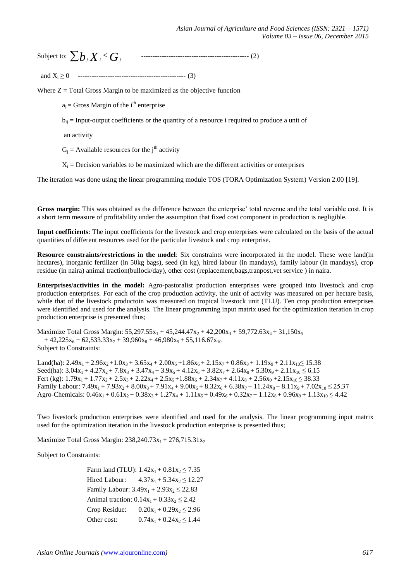Subject to: *b<sup>j</sup> X<sup>i</sup> G<sup>j</sup>* ----------------------------------------------- (2)

and X<sup>i</sup> ≥ 0 ----------------------------------------------- (3)

Where  $Z = \text{Total Gross Margin}$  to be maximized as the objective function

 $a_i$  = Gross Margin of the i<sup>th</sup> enterprise

 $b_{ii}$  = Input-output coefficients or the quantity of a resource i required to produce a unit of

an activity

 $G_i$  = Available resources for the j<sup>th</sup> activity

 $X_i$  = Decision variables to be maximized which are the different activities or enterprises

The iteration was done using the linear programming module TOS (TORA Optimization System) Version 2.00 [19].

**Gross margin:** This was obtained as the difference between the enterprise' total revenue and the total variable cost. It is a short term measure of profitability under the assumption that fixed cost component in production is negligible.

**Input coefficients**: The input coefficients for the livestock and crop enterprises were calculated on the basis of the actual quantities of different resources used for the particular livestock and crop enterprise.

**Resource constraints/restrictions in the model**: Six constraints were incorporated in the model. These were land(in hectares), inorganic fertilizer (in 50kg bags), seed (in kg), hired labour (in mandays), family labour (in mandays), crop residue (in naira) animal traction(bullock/day), other cost (replacement,bags,tranpost,vet service ) in naira.

**Enterprises/activities in the model:** Agro-pastoralist production enterprises were grouped into livestock and crop production enterprises. For each of the crop production activity, the unit of activity was measured on per hectare basis, while that of the livestock productoin was measured on tropical livestock unit (TLU). Ten crop production enterprises were identified and used for the analysis. The linear programming input matrix used for the optimization iteration in crop production enterprise is presented thus;

Maximize Total Gross Margin:  $55,297.55x_1 + 45,244.47x_2 + 42,200x_3 + 59,772.63x_4 + 31,150x_5$  $+ 42,225x_6 + 62,533.33x_7 + 39,960x_8 + 46,980x_9 + 55,116.67x_{10}$ Subject to Constraints:

Land(ha):  $2.49x_1 + 2.96x_2 + 1.0x_3 + 3.65x_4 + 2.00x_5 + 1.86x_6 + 2.15x_7 + 0.86x_8 + 1.19x_9 + 2.11x_{10} \le 15.38$ Seed(ha):  $3.04x_1 + 4.27x_2 + 7.8x_3 + 3.47x_4 + 3.9x_5 + 4.12x_6 + 3.82x_7 + 2.64x_8 + 5.30x_9 + 2.11x_{10} \le 6.15$ Fert (kg):  $1.79x_1 + 1.77x_2 + 2.5x_3 + 2.22x_4 + 2.5x_5 + 1.88x_6 + 2.34x_7 + 4.11x_8 + 2.56x_9 + 2.15x_{10} \le 38.33$ Family Labour:  $7.49x_1 + 7.93x_2 + 8.00x_3 + 7.91x_4 + 9.00x_5 + 8.32x_6 + 6.38x_7 + 11.24x_8 + 8.11x_9 + 7.02x_{10} \le 25.37$ Agro-Chemicals:  $0.46x_1 + 0.61x_2 + 0.38x_3 + 1.27x_4 + 1.11x_5 + 0.49x_6 + 0.32x_7 + 1.12x_8 + 0.96x_9 + 1.13x_{10} \le 4.42$ 

Two livestock production enterprises were identified and used for the analysis. The linear programming input matrix used for the optimization iteration in the livestock production enterprise is presented thus;

Maximize Total Gross Margin:  $238,240.73x_1 + 276,715.31x_2$ 

Subject to Constraints:

Farm land (TLU):  $1.42x_1 + 0.81x_2 \le 7.35$ Hired Labour:  $4.37x_1 + 5.34x_2 \le 12.27$ Family Labour:  $3.49x_1 + 2.93x_2 \le 22.83$ Animal traction:  $0.14x_1 + 0.33x_2 \le 2.42$ Crop Residue:  $0.20x_1 + 0.29x_2 \le 2.96$ Other cost:  $0.74x_1 + 0.24x_2 \le 1.44$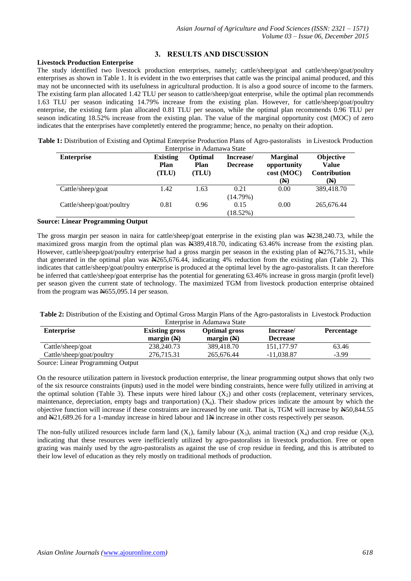## **3. RESULTS AND DISCUSSION**

## **Livestock Production Enterprise**

The study identified two livestock production enterprises, namely; cattle/sheep/goat and cattle/sheep/goat/poultry enterprises as shown in Table 1. It is evident in the two enterprises that cattle was the principal animal produced, and this may not be unconnected with its usefulness in agricultural production. It is also a good source of income to the farmers. The existing farm plan allocated 1.42 TLU per season to cattle/sheep/goat enterprise, while the optimal plan recommends 1.63 TLU per season indicating 14.79% increase from the existing plan. However, for cattle/sheep/goat/poultry enterprise, the existing farm plan allocated 0.81 TLU per season, while the optimal plan recommends 0.96 TLU per season indicating 18.52% increase from the existing plan. The value of the marginal opportunity cost (MOC) of zero indicates that the enterprises have completetly entered the programme; hence, no penalty on their adoption.

| Table 1: Distribution of Existing and Optimal Enterprise Production Plans of Agro-pastoralists in Livestock Production |  |
|------------------------------------------------------------------------------------------------------------------------|--|
| Enternation in Adamsus State                                                                                           |  |

| <b>Enterprise</b>         | <b>Existing</b><br>Plan<br>(TLU) | Optimal<br>Plan<br>(TLU) | Increase/<br><b>Decrease</b> | <b>Marginal</b><br>opportunity<br>cost (MOC)<br>$(\mathbb{N})$ | <b>Objective</b><br><b>Value</b><br><b>Contribution</b><br>(N) |
|---------------------------|----------------------------------|--------------------------|------------------------------|----------------------------------------------------------------|----------------------------------------------------------------|
| Cattle/sheep/goat         | 1.42                             | 1.63                     | 0.21<br>(14.79%)             | 0.00                                                           | 389,418.70                                                     |
| Cattle/sheep/goat/poultry | 0.81                             | 0.96                     | 0.15<br>(18.52%)             | 0.00                                                           | 265,676.44                                                     |

## **Source: Linear Programming Output**

The gross margin per season in naira for cattle/sheep/goat enterprise in the existing plan was  $\mathbb{R}238,240.73$ , while the maximized gross margin from the optimal plan was  $\frac{12389,418.70}{120,0}$  indicating 63.46% increase from the existing plan. However, cattle/sheep/goat/poultry enterprise had a gross margin per season in the existing plan of N4276,715.31, while that generated in the optimal plan was N265,676.44, indicating 4% reduction from the existing plan (Table 2). This indicates that cattle/sheep/goat/poultry enterprise is produced at the optimal level by the agro-pastoralists. It can therefore be inferred that cattle/sheep/goat enterprise has the potential for generating 63.46% increase in gross margin (profit level) per season given the current state of technology. The maximized TGM from livestock production enterprise obtained from the program was N655,095.14 per season.

**Table 2:** Distribution of the Existing and Optimal Gross Margin Plans of the Agro-pastoralists in Livestock Production Enterprise in Adamawa State

| <b>Enterprise</b>         | <b>Existing gross</b><br>margin $(N)$ | <b>Optimal gross</b><br>margin $(N)$ | Increase/<br><b>Decrease</b> | <b>Percentage</b> |
|---------------------------|---------------------------------------|--------------------------------------|------------------------------|-------------------|
| Cattle/sheep/goat         | 238,240.73                            | 389,418.70                           | 151,177.97                   | 63.46             |
| Cattle/sheep/goat/poultry | 276.715.31                            | 265,676.44                           | $-11.038.87$                 | $-3.99$           |

Source: Linear Programming Output

On the resource utilization pattern in livestock production enterprise, the linear programming output shows that only two of the six resource constraints (inputs) used in the model were binding constraints, hence were fully utilized in arriving at the optimal solution (Table 3). These inputs were hired labour  $(X_2)$  and other costs (replacement, veterinary services, maintenance, depreciation, empty bags and tranportation)  $(X_6)$ . Their shadow prices indicate the amount by which the objective function will increase if these constraints are increased by one unit. That is, TGM will increase by N50,844.55 and  $\yen$ 21,689.26 for a 1-manday increase in hired labour and  $1\yen$  increase in other costs respectively per season.

The non-fully utilized resources include farm land  $(X_1)$ , family labour  $(X_3)$ , animal traction  $(X_4)$  and crop residue  $(X_5)$ , indicating that these resources were inefficiently utilized by agro-pastoralists in livestock production. Free or open grazing was mainly used by the agro-pastoralists as against the use of crop residue in feeding, and this is attributed to their low level of education as they rely mostly on traditional methods of production.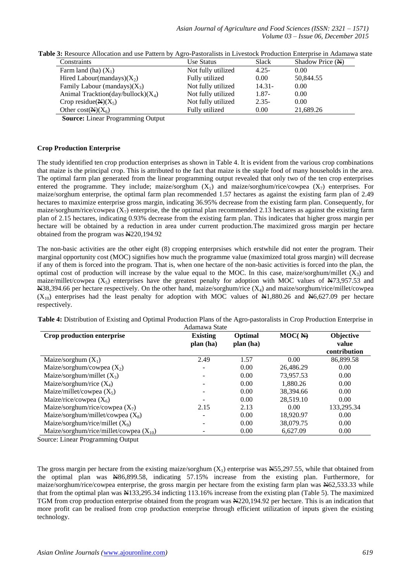*Asian Journal of Agriculture and Food Sciences (ISSN: 2321 – 1571) Volume 03 – Issue 06, December 2015*

| Use Status         | Slack     | Shadow Price (N) |
|--------------------|-----------|------------------|
| Not fully utilized | $4.25 -$  | 0.00             |
| Fully utilized     | 0.00      | 50,844.55        |
| Not fully utilized | $14.31 -$ | 0.00             |
| Not fully utilized | $1.87 -$  | 0.00             |
| Not fully utilized | $2.35-$   | 0.00             |
| Fully utilized     | 0.00      | 21,689.26        |
|                    |           |                  |

**Table 3:** Resource Allocation and use Pattern by Agro-Pastoralists in Livestock Production Enterprise in Adamawa state

**Source:** Linear Programming Output

## **Crop Production Enterprise**

The study identified ten crop production enterprises as shown in Table 4. It is evident from the various crop combinations that maize is the principal crop. This is attributed to the fact that maize is the staple food of many households in the area. The optimal farm plan generated from the linear programming output revealed that only two of the ten crop enterprises entered the programme. They include; maize/sorghum  $(X_1)$  and maize/sorghum/rice/cowpea  $(X_7)$  enterprises. For maize/sorghum enterprise, the optimal farm plan recommended 1.57 hectares as against the existing farm plan of 2.49 hectares to maximize enterprise gross margin, indicating 36.95% decrease from the existing farm plan. Consequently, for maize/sorghum/rice/cowpea  $(X_7)$  enterprise, the the optimal plan recommended 2.13 hectares as against the existing farm plan of 2.15 hectares, indicating 0.93% decrease from the existing farm plan. This indicates that higher gross margin per hectare will be obtained by a reduction in area under current production.The maximized gross margin per hectare obtained from the program was N220,194.92

The non-basic activities are the other eight (8) cropping enterprsises which erstwhile did not enter the program. Their marginal opportunity cost (MOC) signifies how much the programme value (maximized total gross margin) will decrease if any of them is forced into the program. That is, when one hectare of the non-basic activities is forced into the plan, the optimal cost of production will increase by the value equal to the MOC. In this case, maize/sorghum/millet  $(X_3)$  and maize/millet/cowpea  $(X_5)$  enterprises have the greatest penalty for adoption with MOC values of  $\frac{N}{3}$ ,957.53 and  $\triangle 38,394.66$  per hectare respectively. On the other hand, maize/sorghum/rice (X<sub>4</sub>) and maize/sorghum/rice/millet/cowpea  $(X_{10})$  enterprises had the least penalty for adoption with MOC values of  $\text{N1},880.26$  and  $\text{N6},627.09$  per hectare respectively.

| Table 4: Distribution of Existing and Optimal Production Plans of the Agro-pastoralists in Crop Production Enterprise in |               |  |  |
|--------------------------------------------------------------------------------------------------------------------------|---------------|--|--|
|                                                                                                                          | Adamawa State |  |  |

| Crop production enterprise                  | <b>Existing</b><br>plan (ha) | Optimal<br>plan (ha) | $MOC($ $\rightarrow$ $\rightarrow$ | Objective<br>value<br>contribution |
|---------------------------------------------|------------------------------|----------------------|------------------------------------|------------------------------------|
| Maize/sorghum $(X_1)$                       | 2.49                         | 1.57                 | 0.00                               | 86,899.58                          |
| Maize/sorghum/cowpea $(X_2)$                | $\overline{\phantom{a}}$     | 0.00                 | 26,486.29                          | 0.00                               |
| Maize/sorghum/millet $(X_3)$                |                              | 0.00                 | 73,957.53                          | 0.00                               |
| Maize/sorghum/rice $(X_4)$                  |                              | 0.00                 | 1,880.26                           | 0.00                               |
| Maize/millet/cowpea $(X_5)$                 |                              | 0.00                 | 38,394.66                          | 0.00                               |
| Maize/rice/cowpea $(X_6)$                   |                              | 0.00                 | 28,519.10                          | 0.00                               |
| Maize/sorghum/rice/cowpea $(X_7)$           | 2.15                         | 2.13                 | 0.00                               | 133,295.34                         |
| Maize/sorghum/millet/cowpea $(X_8)$         |                              | 0.00                 | 18,920.97                          | 0.00                               |
| Maize/sorghum/rice/millet $(X_9)$           |                              | 0.00                 | 38,079.75                          | 0.00                               |
| Maize/sorghum/rice/millet/cowpea $(X_{10})$ |                              | 0.00                 | 6.627.09                           | 0.00                               |

Source: Linear Programming Output

The gross margin per hectare from the existing maize/sorghum  $(X_1)$  enterprise was  $N$ 55,297.55, while that obtained from the optimal plan was N86,899.58, indicating 57.15% increase from the existing plan. Furthermore, for maize/sorghum/rice/cowpea enterprise, the gross margin per hectare from the existing farm plan was N62,533.33 while that from the optimal plan was N133,295.34 indicting 113.16% increase from the existing plan (Table 5). The maximized TGM from crop production enterprise obtained from the program was N220,194.92 per hectare. This is an indication that more profit can be realised from crop production enterprise through efficient utilization of inputs given the existing technology.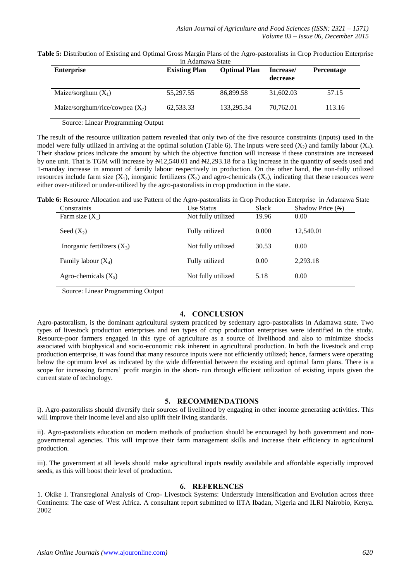| Table 5: Distribution of Existing and Optimal Gross Margin Plans of the Agro-pastoralists in Crop Production Enterprise |  |
|-------------------------------------------------------------------------------------------------------------------------|--|
| in Adamawa State                                                                                                        |  |

| <b>Enterprise</b>                 | <b>Existing Plan</b> | <b>Optimal Plan</b> | Increase/<br>decrease | <b>Percentage</b> |
|-----------------------------------|----------------------|---------------------|-----------------------|-------------------|
| Maize/sorghum $(X_1)$             | 55,297.55            | 86,899.58           | 31,602.03             | 57.15             |
| Maize/sorghum/rice/cowpea $(X_7)$ | 62,533.33            | 133,295.34          | 70,762.01             | 113.16            |

Source: Linear Programming Output

The result of the resource utilization pattern revealed that only two of the five resource constraints (inputs) used in the model were fully utilized in arriving at the optimal solution (Table 6). The inputs were seed  $(X_2)$  and family labour  $(X_4)$ . Their shadow prices indicate the amount by which the objective function will increase if these constraints are increased by one unit. That is TGM will increase by N12,540.01 and N2,293.18 for a 1kg increase in the quantity of seeds used and 1-manday increase in amount of family labour respectively in production. On the other hand, the non-fully utilized resources include farm size  $(X_1)$ , inorganic fertilizers  $(X_3)$  and agro-chemicals  $(X_5)$ , indicating that these resources were either over-utilized or under-utilized by the agro-pastoralists in crop production in the state.

**Table 6:** Resource Allocation and use Pattern of the Agro-pastoralists in Crop Production Enterprise in Adamawa State

| Constraints                   | Use Status         | <b>Slack</b> | Shadow Price (N) |
|-------------------------------|--------------------|--------------|------------------|
| Farm size $(X_1)$             | Not fully utilized | 19.96        | 0.00             |
| Seed $(X_2)$                  | Fully utilized     | 0.000        | 12,540.01        |
| Inorganic fertilizers $(X_3)$ | Not fully utilized | 30.53        | 0.00             |
| Family labour $(X_4)$         | Fully utilized     | 0.00         | 2.293.18         |
| Agro-chemicals $(X_5)$        | Not fully utilized | 5.18         | 0.00             |

Source: Linear Programming Output

## **4. CONCLUSION**

Agro-pastoralism, is the dominant agricultural system practiced by sedentary agro-pastoralists in Adamawa state. Two types of livestock production enterprises and ten types of crop production enterprises were identified in the study. Resource-poor farmers engaged in this type of agriculture as a source of livelihood and also to minimize shocks associated with biophysical and socio-economic risk inherent in agricultural production. In both the livestock and crop production enterprise, it was found that many resource inputs were not efficiently utilized; hence, farmers were operating below the optimum level as indicated by the wide differential between the existing and optimal farm plans. There is a scope for increasing farmers' profit margin in the short- run through efficient utilization of existing inputs given the current state of technology.

## **5. RECOMMENDATIONS**

i). Agro-pastoralists should diversify their sources of livelihood by engaging in other income generating activities. This will improve their income level and also uplift their living standards.

ii). Agro-pastoralists education on modern methods of production should be encouraged by both government and nongovernmental agencies. This will improve their farm management skills and increase their efficiency in agricultural production.

iii). The government at all levels should make agricultural inputs readily availabile and affordable especially improved seeds, as this will boost their level of production.

## **6. REFERENCES**

1. Okike I. Transregional Analysis of Crop- Livestock Systems: Understudy Intensification and Evolution across three Continents: The case of West Africa. A consultant report submitted to IITA Ibadan, Nigeria and ILRI Nairobio, Kenya. 2002